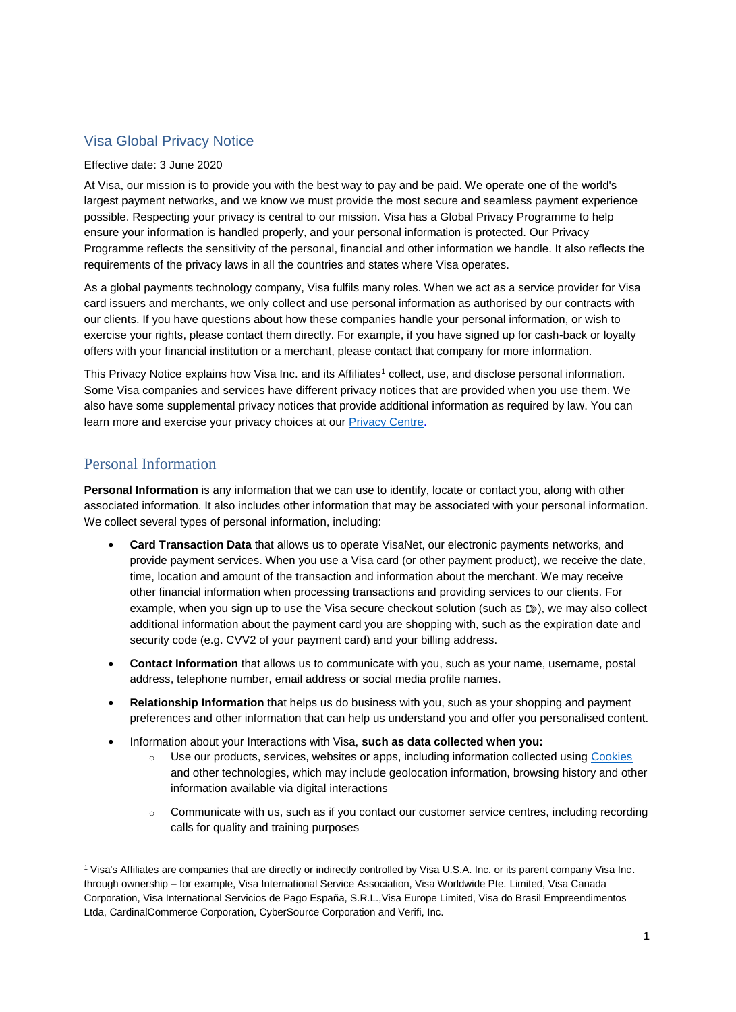# Visa Global Privacy Notice

#### Effective date: 3 June 2020

At Visa, our mission is to provide you with the best way to pay and be paid. We operate one of the world's largest payment networks, and we know we must provide the most secure and seamless payment experience possible. Respecting your privacy is central to our mission. Visa has a Global Privacy Programme to help ensure your information is handled properly, and your personal information is protected. Our Privacy Programme reflects the sensitivity of the personal, financial and other information we handle. It also reflects the requirements of the privacy laws in all the countries and states where Visa operates.

As a global payments technology company, Visa fulfils many roles. When we act as a service provider for Visa card issuers and merchants, we only collect and use personal information as authorised by our contracts with our clients. If you have questions about how these companies handle your personal information, or wish to exercise your rights, please contact them directly. For example, if you have signed up for cash-back or loyalty offers with your financial institution or a merchant, please contact that company for more information.

This Privacy Notice explains how Visa Inc. and its Affiliates<sup>1</sup> collect, use, and disclose personal information. Some Visa companies and services have different privacy notices that are provided when you use them. We also have some supplemental privacy notices that provide additional information as required by law. You can learn more and exercise your privacy choices at our [Privacy Centre.](https://usa.visa.com/legal/privacy-policy.html)

#### Personal Information

 $\overline{a}$ 

**Personal Information** is any information that we can use to identify, locate or contact you, along with other associated information. It also includes other information that may be associated with your personal information. We collect several types of personal information, including:

- **Card Transaction Data** that allows us to operate VisaNet, our electronic payments networks, and provide payment services. When you use a Visa card (or other payment product), we receive the date, time, location and amount of the transaction and information about the merchant. We may receive other financial information when processing transactions and providing services to our clients. For example, when you sign up to use the Visa secure checkout solution (such as  $\mathbb{D}$ ), we may also collect additional information about the payment card you are shopping with, such as the expiration date and security code (e.g. CVV2 of your payment card) and your billing address.
- **Contact Information** that allows us to communicate with you, such as your name, username, postal address, telephone number, email address or social media profile names.
- **Relationship Information** that helps us do business with you, such as your shopping and payment preferences and other information that can help us understand you and offer you personalised content.
- Information about your Interactions with Visa, **such as data collected when you:**
	- o Use our products, services, websites or apps, including information collected using [Cookies](https://usa.visa.com/legal/global-privacy-notice/cookie-notice.html) and other technologies, which may include geolocation information, browsing history and other information available via digital interactions
	- $\circ$  Communicate with us, such as if you contact our customer service centres, including recording calls for quality and training purposes

<sup>1</sup> Visa's Affiliates are companies that are directly or indirectly controlled by Visa U.S.A. Inc. or its parent company Visa Inc. through ownership – for example, Visa International Service Association, Visa Worldwide Pte. Limited, Visa Canada Corporation, Visa International Servicios de Pago España, S.R.L.,Visa Europe Limited, Visa do Brasil Empreendimentos Ltda, CardinalCommerce Corporation, CyberSource Corporation and Verifi, Inc.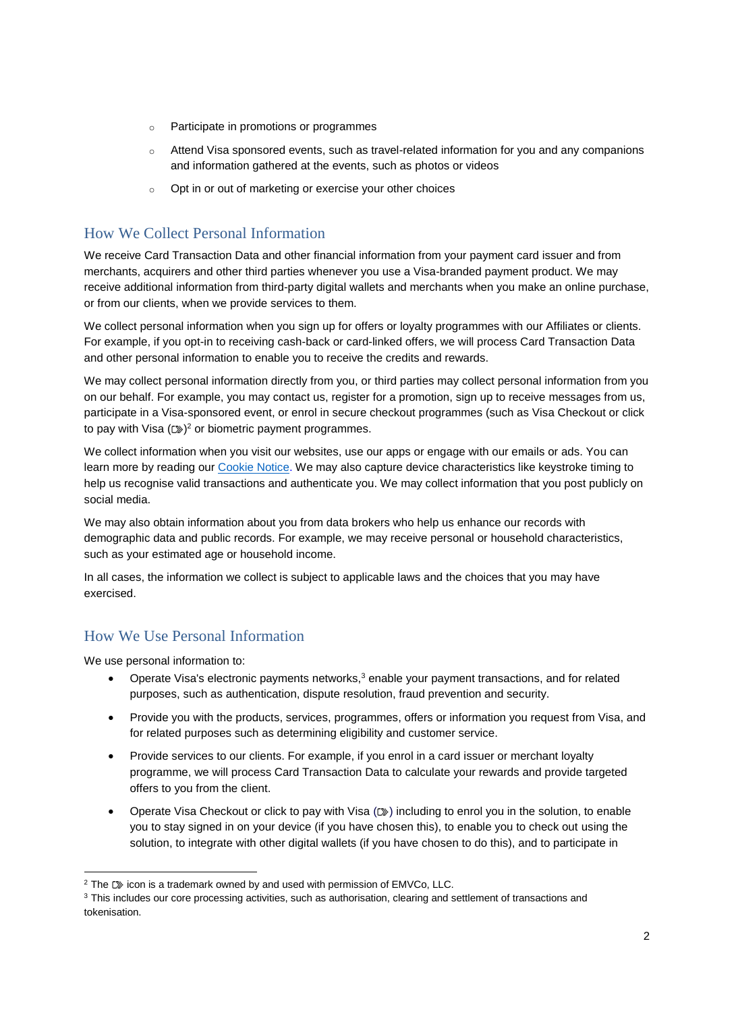- o Participate in promotions or programmes
- o Attend Visa sponsored events, such as travel-related information for you and any companions and information gathered at the events, such as photos or videos
- o Opt in or out of marketing or exercise your other choices

# How We Collect Personal Information

We receive Card Transaction Data and other financial information from your payment card issuer and from merchants, acquirers and other third parties whenever you use a Visa-branded payment product. We may receive additional information from third-party digital wallets and merchants when you make an online purchase, or from our clients, when we provide services to them.

We collect personal information when you sign up for offers or loyalty programmes with our Affiliates or clients. For example, if you opt-in to receiving cash-back or card-linked offers, we will process Card Transaction Data and other personal information to enable you to receive the credits and rewards.

We may collect personal information directly from you, or third parties may collect personal information from you on our behalf. For example, you may contact us, register for a promotion, sign up to receive messages from us, participate in a Visa-sponsored event, or enrol in secure checkout programmes (such as Visa Checkout or click to pay with Visa  $({\mathbb{D}}^n)^2$  or biometric payment programmes.

We collect information when you visit our websites, use our apps or engage with our emails or ads. You can learn more by reading our [Cookie Notice.](https://usa.visa.com/legal/global-privacy-notice/cookie-notice.html) We may also capture device characteristics like keystroke timing to help us recognise valid transactions and authenticate you. We may collect information that you post publicly on social media.

We may also obtain information about you from data brokers who help us enhance our records with demographic data and public records. For example, we may receive personal or household characteristics, such as your estimated age or household income.

In all cases, the information we collect is subject to applicable laws and the choices that you may have exercised.

## How We Use Personal Information

We use personal information to:

- Operate Visa's electronic payments networks, $3$  enable your payment transactions, and for related purposes, such as authentication, dispute resolution, fraud prevention and security.
- Provide you with the products, services, programmes, offers or information you request from Visa, and for related purposes such as determining eligibility and customer service.
- Provide services to our clients. For example, if you enrol in a card issuer or merchant loyalty programme, we will process Card Transaction Data to calculate your rewards and provide targeted offers to you from the client.
- Operate Visa Checkout or click to pay with Visa  $(  $\infty$ )$  including to enrol you in the solution, to enable you to stay signed in on your device (if you have chosen this), to enable you to check out using the solution, to integrate with other digital wallets (if you have chosen to do this), and to participate in

 $\overline{a}$  $2$  The  $D\gg$  icon is a trademark owned by and used with permission of EMVCo, LLC.

<sup>&</sup>lt;sup>3</sup> This includes our core processing activities, such as authorisation, clearing and settlement of transactions and tokenisation.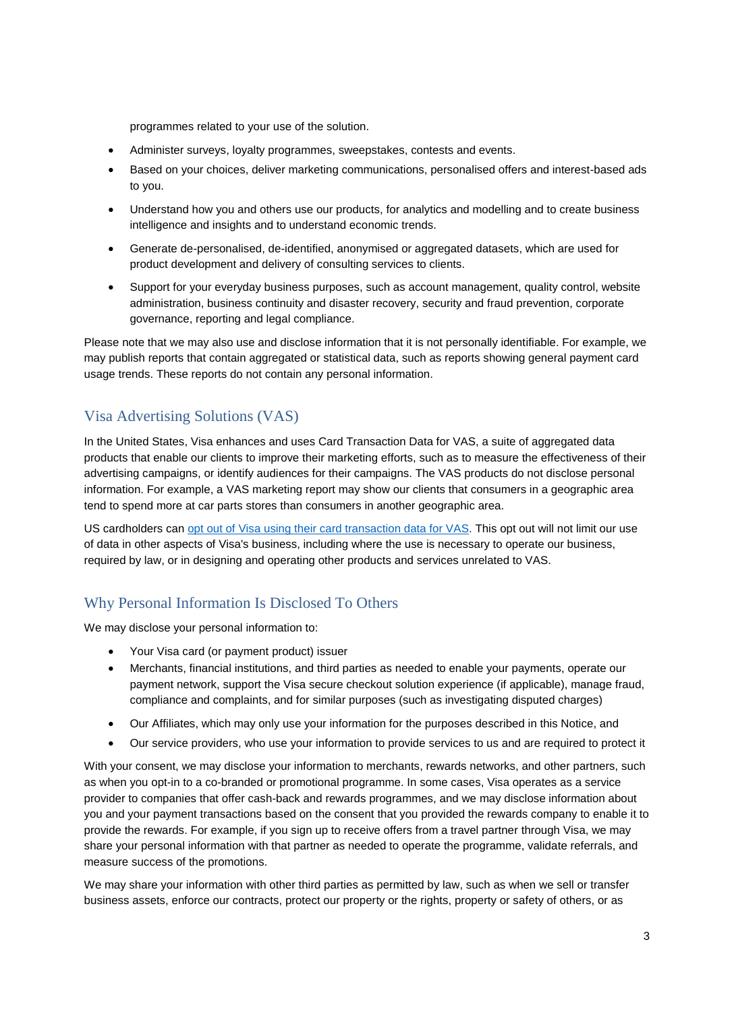programmes related to your use of the solution.

- Administer surveys, loyalty programmes, sweepstakes, contests and events.
- Based on your choices, deliver marketing communications, personalised offers and interest-based ads to you.
- Understand how you and others use our products, for analytics and modelling and to create business intelligence and insights and to understand economic trends.
- Generate de-personalised, de-identified, anonymised or aggregated datasets, which are used for product development and delivery of consulting services to clients.
- Support for your everyday business purposes, such as account management, quality control, website administration, business continuity and disaster recovery, security and fraud prevention, corporate governance, reporting and legal compliance.

Please note that we may also use and disclose information that it is not personally identifiable. For example, we may publish reports that contain aggregated or statistical data, such as reports showing general payment card usage trends. These reports do not contain any personal information.

### Visa Advertising Solutions (VAS)

In the United States, Visa enhances and uses Card Transaction Data for VAS, a suite of aggregated data products that enable our clients to improve their marketing efforts, such as to measure the effectiveness of their advertising campaigns, or identify audiences for their campaigns. The VAS products do not disclose personal information. For example, a VAS marketing report may show our clients that consumers in a geographic area tend to spend more at car parts stores than consumers in another geographic area.

US cardholders can [opt out of Visa using their card transaction data for VAS.](https://usa.visa.com/legal/privacy-policy-opt-out.html) This opt out will not limit our use of data in other aspects of Visa's business, including where the use is necessary to operate our business, required by law, or in designing and operating other products and services unrelated to VAS.

## Why Personal Information Is Disclosed To Others

We may disclose your personal information to:

- Your Visa card (or payment product) issuer
- Merchants, financial institutions, and third parties as needed to enable your payments, operate our payment network, support the Visa secure checkout solution experience (if applicable), manage fraud, compliance and complaints, and for similar purposes (such as investigating disputed charges)
- Our Affiliates, which may only use your information for the purposes described in this Notice, and
- Our service providers, who use your information to provide services to us and are required to protect it

With your consent, we may disclose your information to merchants, rewards networks, and other partners, such as when you opt-in to a co-branded or promotional programme. In some cases, Visa operates as a service provider to companies that offer cash-back and rewards programmes, and we may disclose information about you and your payment transactions based on the consent that you provided the rewards company to enable it to provide the rewards. For example, if you sign up to receive offers from a travel partner through Visa, we may share your personal information with that partner as needed to operate the programme, validate referrals, and measure success of the promotions.

We may share your information with other third parties as permitted by law, such as when we sell or transfer business assets, enforce our contracts, protect our property or the rights, property or safety of others, or as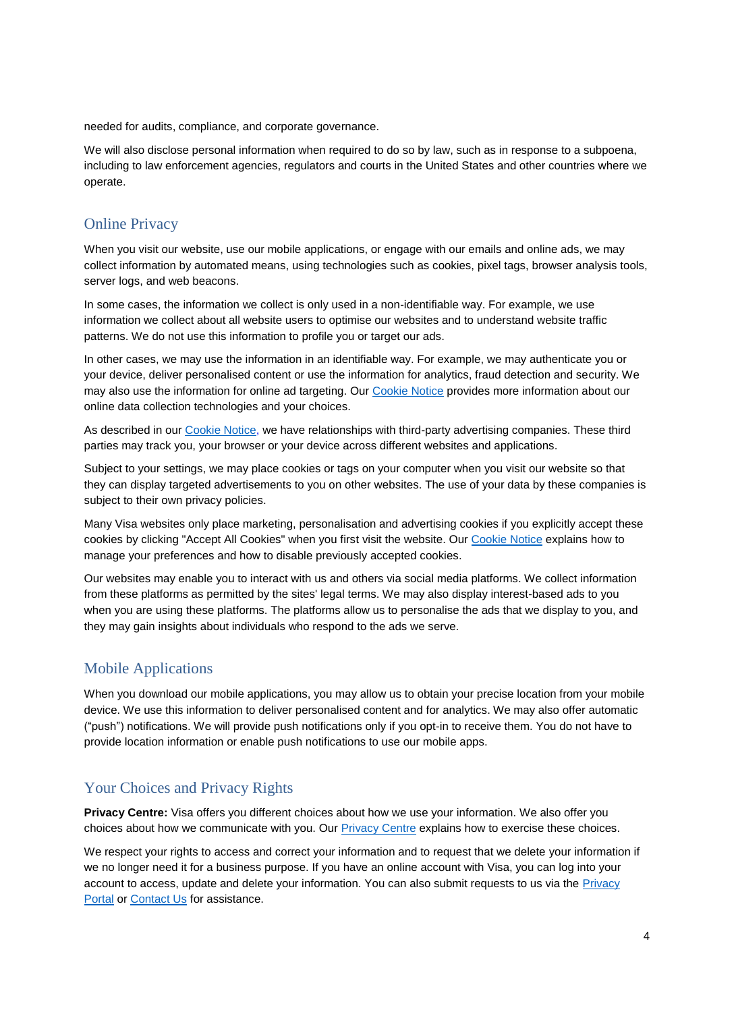needed for audits, compliance, and corporate governance.

We will also disclose personal information when required to do so by law, such as in response to a subpoena, including to law enforcement agencies, regulators and courts in the United States and other countries where we operate.

#### Online Privacy

When you visit our website, use our mobile applications, or engage with our emails and online ads, we may collect information by automated means, using technologies such as cookies, pixel tags, browser analysis tools, server logs, and web beacons.

In some cases, the information we collect is only used in a non-identifiable way. For example, we use information we collect about all website users to optimise our websites and to understand website traffic patterns. We do not use this information to profile you or target our ads.

In other cases, we may use the information in an identifiable way. For example, we may authenticate you or your device, deliver personalised content or use the information for analytics, fraud detection and security. We may also use the information for online ad targeting. Ou[r Cookie Notice](https://usa.visa.com/legal/global-privacy-notice/cookie-notice.html) provides more information about our online data collection technologies and your choices.

As described in our [Cookie Notice,](https://usa.visa.com/legal/global-privacy-notice/cookie-notice.html) we have relationships with third-party advertising companies. These third parties may track you, your browser or your device across different websites and applications.

Subject to your settings, we may place cookies or tags on your computer when you visit our website so that they can display targeted advertisements to you on other websites. The use of your data by these companies is subject to their own privacy policies.

Many Visa websites only place marketing, personalisation and advertising cookies if you explicitly accept these cookies by clicking "Accept All Cookies" when you first visit the website. Our [Cookie Notice](https://usa.visa.com/legal/global-privacy-notice/cookie-notice.html) explains how to manage your preferences and how to disable previously accepted cookies.

Our websites may enable you to interact with us and others via social media platforms. We collect information from these platforms as permitted by the sites' legal terms. We may also display interest-based ads to you when you are using these platforms. The platforms allow us to personalise the ads that we display to you, and they may gain insights about individuals who respond to the ads we serve.

### Mobile Applications

When you download our mobile applications, you may allow us to obtain your precise location from your mobile device. We use this information to deliver personalised content and for analytics. We may also offer automatic ("push") notifications. We will provide push notifications only if you opt-in to receive them. You do not have to provide location information or enable push notifications to use our mobile apps.

### Your Choices and Privacy Rights

**Privacy Centre:** Visa offers you different choices about how we use your information. We also offer you choices about how we communicate with you. Our **Privacy Centre explains how to exercise these choices.** 

We respect your rights to access and correct your information and to request that we delete your information if we no longer need it for a business purpose. If you have an online account with Visa, you can log into your account to access, update and delete your information. You can also submit requests to us via the [Privacy](https://privacy.visa.com/)  **[Portal](https://privacy.visa.com/) or [Contact Us](mailto:privacy@visa.com) for assistance.**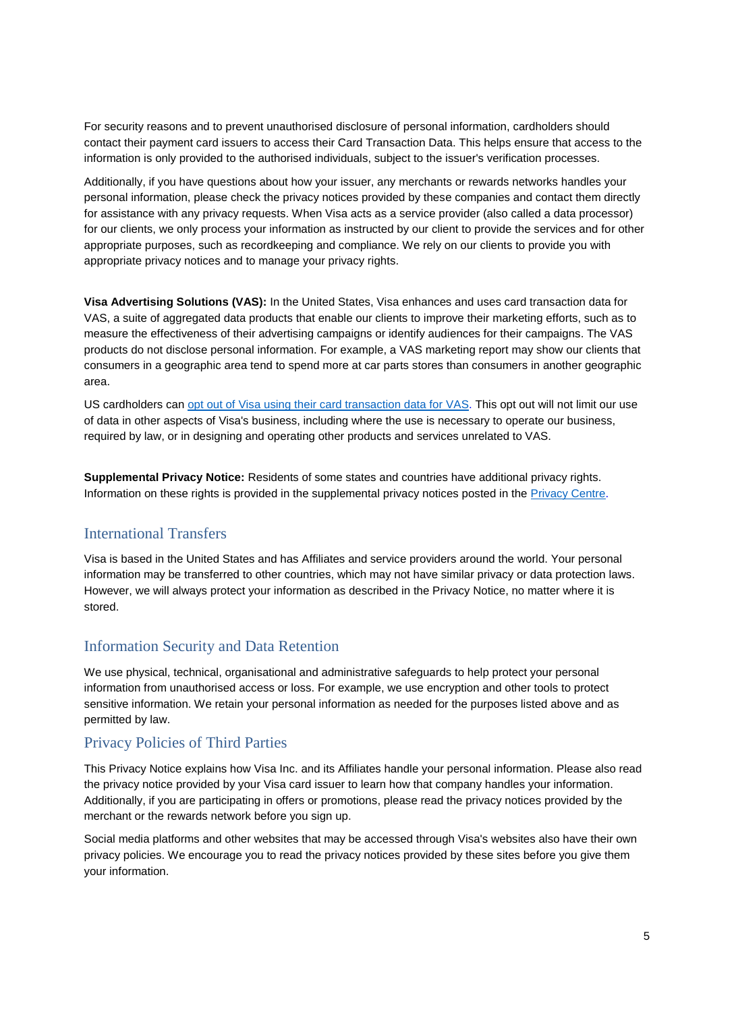For security reasons and to prevent unauthorised disclosure of personal information, cardholders should contact their payment card issuers to access their Card Transaction Data. This helps ensure that access to the information is only provided to the authorised individuals, subject to the issuer's verification processes.

Additionally, if you have questions about how your issuer, any merchants or rewards networks handles your personal information, please check the privacy notices provided by these companies and contact them directly for assistance with any privacy requests. When Visa acts as a service provider (also called a data processor) for our clients, we only process your information as instructed by our client to provide the services and for other appropriate purposes, such as recordkeeping and compliance. We rely on our clients to provide you with appropriate privacy notices and to manage your privacy rights.

**Visa Advertising Solutions (VAS):** In the United States, Visa enhances and uses card transaction data for VAS, a suite of aggregated data products that enable our clients to improve their marketing efforts, such as to measure the effectiveness of their advertising campaigns or identify audiences for their campaigns. The VAS products do not disclose personal information. For example, a VAS marketing report may show our clients that consumers in a geographic area tend to spend more at car parts stores than consumers in another geographic area.

US cardholders can [opt out of Visa using their card transaction data for](https://usa.visa.com/legal/privacy-policy-opt-out.html) VAS. This opt out will not limit our use of data in other aspects of Visa's business, including where the use is necessary to operate our business, required by law, or in designing and operating other products and services unrelated to VAS.

**Supplemental Privacy Notice:** Residents of some states and countries have additional privacy rights. Information on these rights is provided in the supplemental privacy notices posted in the [Privacy Centre.](https://usa.visa.com/legal/privacy-policy.html)

### International Transfers

Visa is based in the United States and has Affiliates and service providers around the world. Your personal information may be transferred to other countries, which may not have similar privacy or data protection laws. However, we will always protect your information as described in the Privacy Notice, no matter where it is stored.

### Information Security and Data Retention

We use physical, technical, organisational and administrative safeguards to help protect your personal information from unauthorised access or loss. For example, we use encryption and other tools to protect sensitive information. We retain your personal information as needed for the purposes listed above and as permitted by law.

### Privacy Policies of Third Parties

This Privacy Notice explains how Visa Inc. and its Affiliates handle your personal information. Please also read the privacy notice provided by your Visa card issuer to learn how that company handles your information. Additionally, if you are participating in offers or promotions, please read the privacy notices provided by the merchant or the rewards network before you sign up.

Social media platforms and other websites that may be accessed through Visa's websites also have their own privacy policies. We encourage you to read the privacy notices provided by these sites before you give them your information.